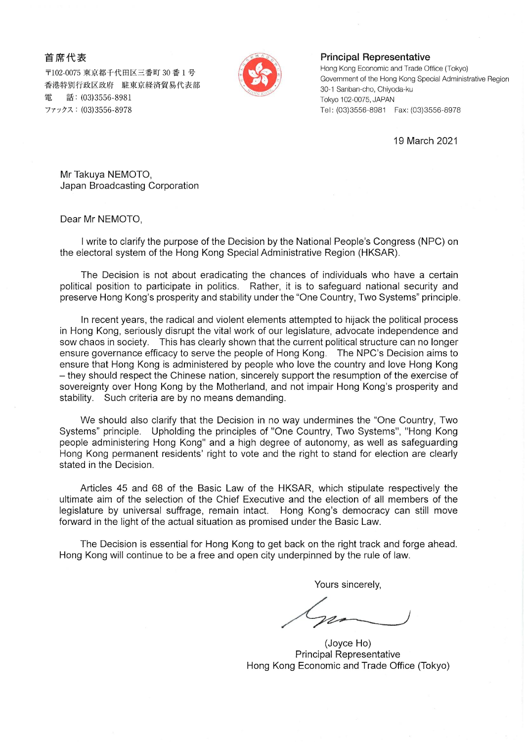## 首席代表

〒102-0075 東京都千代田区三番町 30 番 1 号 香港特別行政区政府 駐東京経済貿易代表部 話: (03)3556-8981 雷 ファックス: (03)3556-8978



## **Principal Representative**

Hong Kong Economic and Trade Office (Tokyo) Government of the Hong Kong Special Administrative Region 30-1 Sanban-cho, Chiyoda-ku Tokyo 102-0075, JAPAN Tel: (03)3556-8981 Fax: (03)3556-8978

19 March 2021

Mr Takuya NEMOTO, Japan Broadcasting Corporation

Dear Mr NEMOTO,

I write to clarify the purpose of the Decision by the National People's Congress (NPC) on the electoral system of the Hong Kong Special Administrative Region (HKSAR).

The Decision is not about eradicating the chances of individuals who have a certain political position to participate in politics. Rather, it is to safequard national security and preserve Hong Kong's prosperity and stability under the "One Country, Two Systems" principle.

In recent years, the radical and violent elements attempted to hijack the political process in Hong Kong, seriously disrupt the vital work of our legislature, advocate independence and sow chaos in society. This has clearly shown that the current political structure can no longer ensure governance efficacy to serve the people of Hong Kong. The NPC's Decision aims to ensure that Hong Kong is administered by people who love the country and love Hong Kong - they should respect the Chinese nation, sincerely support the resumption of the exercise of sovereignty over Hong Kong by the Motherland, and not impair Hong Kong's prosperity and stability. Such criteria are by no means demanding.

We should also clarify that the Decision in no way undermines the "One Country, Two Systems" principle. Upholding the principles of "One Country, Two Systems", "Hong Kong people administering Hong Kong" and a high degree of autonomy, as well as safeguarding Hong Kong permanent residents' right to vote and the right to stand for election are clearly stated in the Decision.

Articles 45 and 68 of the Basic Law of the HKSAR, which stipulate respectively the ultimate aim of the selection of the Chief Executive and the election of all members of the legislature by universal suffrage, remain intact. Hong Kong's democracy can still move forward in the light of the actual situation as promised under the Basic Law.

The Decision is essential for Hong Kong to get back on the right track and forge ahead. Hong Kong will continue to be a free and open city underpinned by the rule of law.

Yours sincerely,

(Joyce Ho) **Principal Representative** Hong Kong Economic and Trade Office (Tokyo)